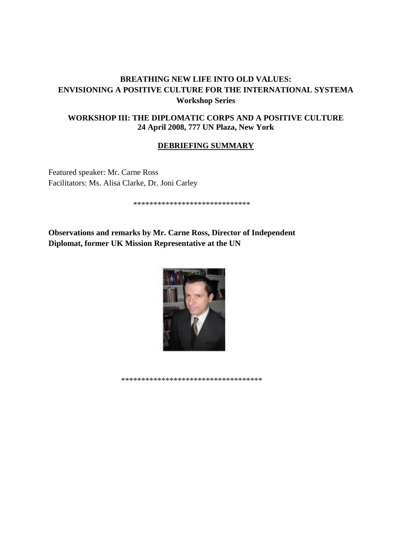# **BREATHING NEW LIFE INTO OLD VALUES: ENVISIONING A POSITIVE CULTURE FOR THE INTERNATIONAL SYSTEMA Workshop Series**

## **WORKSHOP III: THE DIPLOMATIC CORPS AND A POSITIVE CULTURE 24 April 2008, 777 UN Plaza, New York**

## **DEBRIEFING SUMMARY**

Featured speaker: Mr. Carne Ross Facilitators: Ms. Alisa Clarke, Dr. Joni Carley

\*\*\*\*\*\*\*\*\*\*\*\*\*\*\*\*\*\*\*\*\*\*\*\*\*\*\*\*\*

**Observations and remarks by Mr. Carne Ross, Director of Independent Diplomat, former UK Mission Representative at the UN**



\*\*\*\*\*\*\*\*\*\*\*\*\*\*\*\*\*\*\*\*\*\*\*\*\*\*\*\*\*\*\*\*\*\*\*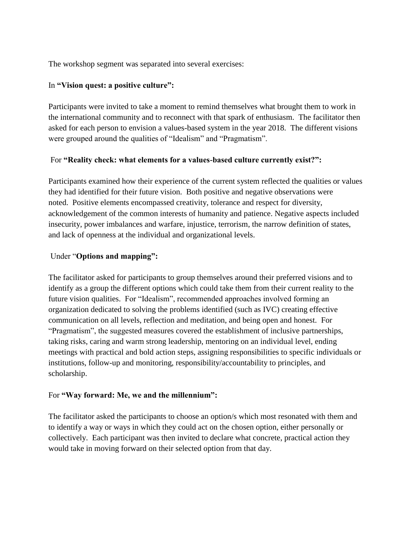The workshop segment was separated into several exercises:

## In **"Vision quest: a positive culture":**

Participants were invited to take a moment to remind themselves what brought them to work in the international community and to reconnect with that spark of enthusiasm. The facilitator then asked for each person to envision a values-based system in the year 2018. The different visions were grouped around the qualities of "Idealism" and "Pragmatism".

## For **"Reality check: what elements for a values-based culture currently exist?":**

Participants examined how their experience of the current system reflected the qualities or values they had identified for their future vision. Both positive and negative observations were noted. Positive elements encompassed creativity, tolerance and respect for diversity, acknowledgement of the common interests of humanity and patience. Negative aspects included insecurity, power imbalances and warfare, injustice, terrorism, the narrow definition of states, and lack of openness at the individual and organizational levels.

## Under "**Options and mapping":**

The facilitator asked for participants to group themselves around their preferred visions and to identify as a group the different options which could take them from their current reality to the future vision qualities. For "Idealism", recommended approaches involved forming an organization dedicated to solving the problems identified (such as IVC) creating effective communication on all levels, reflection and meditation, and being open and honest. For "Pragmatism", the suggested measures covered the establishment of inclusive partnerships, taking risks, caring and warm strong leadership, mentoring on an individual level, ending meetings with practical and bold action steps, assigning responsibilities to specific individuals or institutions, follow-up and monitoring, responsibility/accountability to principles, and scholarship.

## For **"Way forward: Me, we and the millennium":**

The facilitator asked the participants to choose an option/s which most resonated with them and to identify a way or ways in which they could act on the chosen option, either personally or collectively. Each participant was then invited to declare what concrete, practical action they would take in moving forward on their selected option from that day.